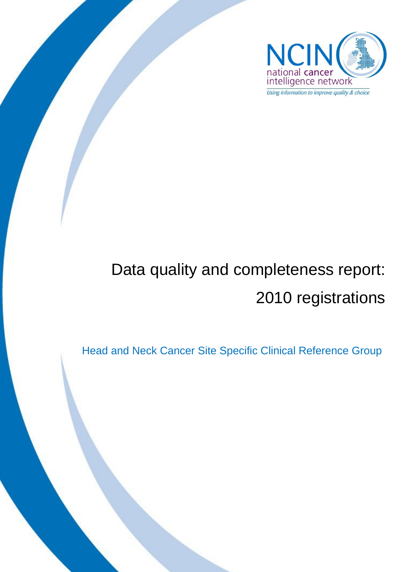

# Data quality and completeness report: 2010 registrations

Head and Neck Cancer Site Specific Clinical Reference Group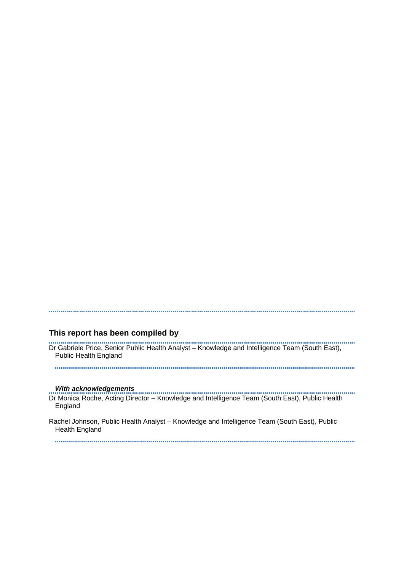#### **This report has been compiled by**

Dr Gabriele Price, Senior Public Health Analyst – Knowledge and Intelligence Team (South East), Public Health England

#### *With acknowledgements*

Dr Monica Roche, Acting Director – Knowledge and Intelligence Team (South East), Public Health England

Rachel Johnson, Public Health Analyst – Knowledge and Intelligence Team (South East), Public Health England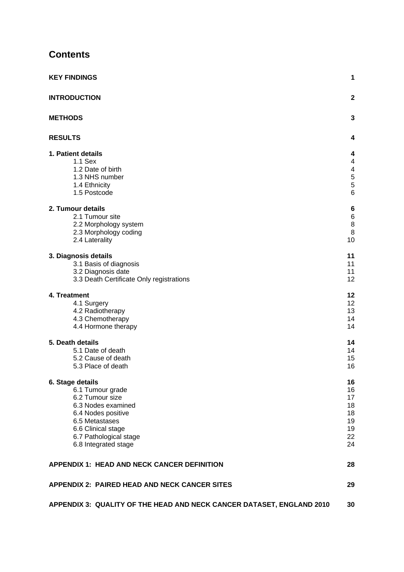# **Contents**

| <b>KEY FINDINGS</b>                                                                                                                                                                           | 1                                                  |
|-----------------------------------------------------------------------------------------------------------------------------------------------------------------------------------------------|----------------------------------------------------|
| <b>INTRODUCTION</b>                                                                                                                                                                           | $\mathbf{2}$                                       |
| <b>METHODS</b>                                                                                                                                                                                | 3                                                  |
| <b>RESULTS</b>                                                                                                                                                                                | 4                                                  |
| 1. Patient details<br>1.1 Sex<br>1.2 Date of birth<br>1.3 NHS number<br>1.4 Ethnicity<br>1.5 Postcode                                                                                         | 4<br>4<br>4<br>5<br>5<br>6                         |
| 2. Tumour details<br>2.1 Tumour site<br>2.2 Morphology system<br>2.3 Morphology coding<br>2.4 Laterality                                                                                      | 6<br>$\,6$<br>$\bf8$<br>8<br>10                    |
| 3. Diagnosis details<br>3.1 Basis of diagnosis<br>3.2 Diagnosis date<br>3.3 Death Certificate Only registrations                                                                              | 11<br>11<br>11<br>12                               |
| 4. Treatment<br>4.1 Surgery<br>4.2 Radiotherapy<br>4.3 Chemotherapy<br>4.4 Hormone therapy                                                                                                    | 12<br>12<br>13<br>14<br>14                         |
| 5. Death details<br>5.1 Date of death<br>5.2 Cause of death<br>5.3 Place of death                                                                                                             | 14<br>14<br>15<br>16                               |
| 6. Stage details<br>6.1 Tumour grade<br>6.2 Tumour size<br>6.3 Nodes examined<br>6.4 Nodes positive<br>6.5 Metastases<br>6.6 Clinical stage<br>6.7 Pathological stage<br>6.8 Integrated stage | 16<br>16<br>17<br>18<br>18<br>19<br>19<br>22<br>24 |
| <b>APPENDIX 1: HEAD AND NECK CANCER DEFINITION</b>                                                                                                                                            | 28                                                 |
| <b>APPENDIX 2: PAIRED HEAD AND NECK CANCER SITES</b>                                                                                                                                          | 29                                                 |
| APPENDIX 3: QUALITY OF THE HEAD AND NECK CANCER DATASET, ENGLAND 2010                                                                                                                         | 30                                                 |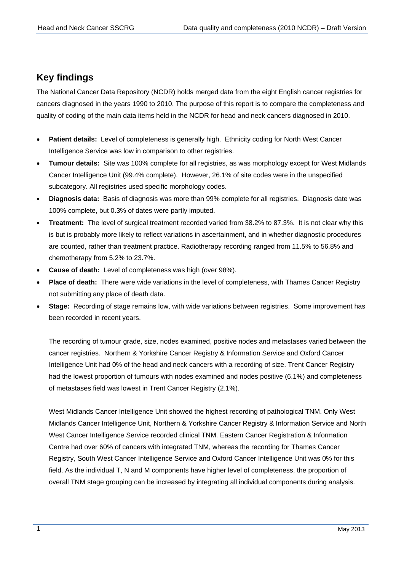# <span id="page-3-0"></span>**Key findings**

The National Cancer Data Repository (NCDR) holds merged data from the eight English cancer registries for cancers diagnosed in the years 1990 to 2010. The purpose of this report is to compare the completeness and quality of coding of the main data items held in the NCDR for head and neck cancers diagnosed in 2010.

- **Patient details:** Level of completeness is generally high. Ethnicity coding for North West Cancer Intelligence Service was low in comparison to other registries.
- **Tumour details:** Site was 100% complete for all registries, as was morphology except for West Midlands Cancer Intelligence Unit (99.4% complete). However, 26.1% of site codes were in the unspecified subcategory. All registries used specific morphology codes.
- **Diagnosis data:** Basis of diagnosis was more than 99% complete for all registries. Diagnosis date was 100% complete, but 0.3% of dates were partly imputed.
- **Treatment:** The level of surgical treatment recorded varied from 38.2% to 87.3%. It is not clear why this is but is probably more likely to reflect variations in ascertainment, and in whether diagnostic procedures are counted, rather than treatment practice. Radiotherapy recording ranged from 11.5% to 56.8% and chemotherapy from 5.2% to 23.7%.
- **Cause of death:** Level of completeness was high (over 98%).
- **Place of death:** There were wide variations in the level of completeness, with Thames Cancer Registry not submitting any place of death data.
- **Stage:** Recording of stage remains low, with wide variations between registries. Some improvement has been recorded in recent years.

The recording of tumour grade, size, nodes examined, positive nodes and metastases varied between the cancer registries. Northern & Yorkshire Cancer Registry & Information Service and Oxford Cancer Intelligence Unit had 0% of the head and neck cancers with a recording of size. Trent Cancer Registry had the lowest proportion of tumours with nodes examined and nodes positive (6.1%) and completeness of metastases field was lowest in Trent Cancer Registry (2.1%).

West Midlands Cancer Intelligence Unit showed the highest recording of pathological TNM. Only West Midlands Cancer Intelligence Unit, Northern & Yorkshire Cancer Registry & Information Service and North West Cancer Intelligence Service recorded clinical TNM. Eastern Cancer Registration & Information Centre had over 60% of cancers with integrated TNM, whereas the recording for Thames Cancer Registry, South West Cancer Intelligence Service and Oxford Cancer Intelligence Unit was 0% for this field. As the individual T, N and M components have higher level of completeness, the proportion of overall TNM stage grouping can be increased by integrating all individual components during analysis.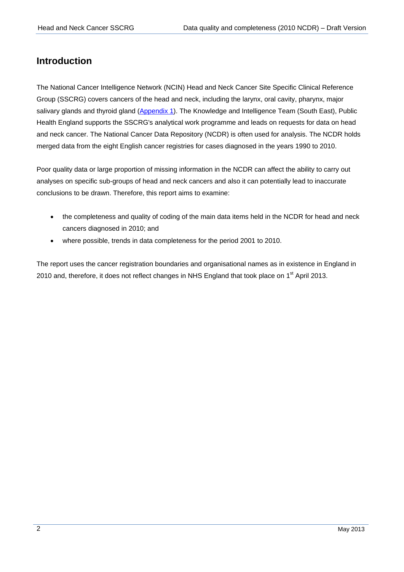# <span id="page-4-0"></span>**Introduction**

The National Cancer Intelligence Network (NCIN) Head and Neck Cancer Site Specific Clinical Reference Group (SSCRG) covers cancers of the head and neck, including the larynx, oral cavity, pharynx, major salivary glands and thyroid gland [\(Appendix 1\)](#page-30-0). The Knowledge and Intelligence Team (South East), Public Health England supports the SSCRG's analytical work programme and leads on requests for data on head and neck cancer. The National Cancer Data Repository (NCDR) is often used for analysis. The NCDR holds merged data from the eight English cancer registries for cases diagnosed in the years 1990 to 2010.

Poor quality data or large proportion of missing information in the NCDR can affect the ability to carry out analyses on specific sub-groups of head and neck cancers and also it can potentially lead to inaccurate conclusions to be drawn. Therefore, this report aims to examine:

- the completeness and quality of coding of the main data items held in the NCDR for head and neck cancers diagnosed in 2010; and
- where possible, trends in data completeness for the period 2001 to 2010.

The report uses the cancer registration boundaries and organisational names as in existence in England in 2010 and, therefore, it does not reflect changes in NHS England that took place on 1<sup>st</sup> April 2013.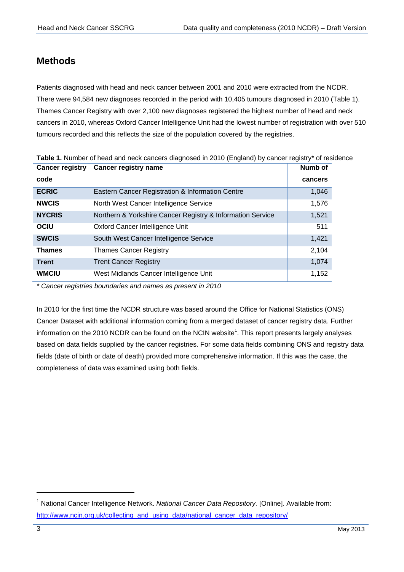# <span id="page-5-0"></span>**Methods**

Patients diagnosed with head and neck cancer between 2001 and 2010 were extracted from the NCDR. There were 94,584 new diagnoses recorded in the period with 10,405 tumours diagnosed in 2010 (Table 1). Thames Cancer Registry with over 2,100 new diagnoses registered the highest number of head and neck cancers in 2010, whereas Oxford Cancer Intelligence Unit had the lowest number of registration with over 510 tumours recorded and this reflects the size of the population covered by the registries.

| <b>Cancer registry</b> | <b>Cancer registry name</b>                                | <b>Numb of</b> |
|------------------------|------------------------------------------------------------|----------------|
| code                   |                                                            | cancers        |
| <b>ECRIC</b>           | Eastern Cancer Registration & Information Centre           | 1,046          |
| <b>NWCIS</b>           | North West Cancer Intelligence Service                     | 1,576          |
| <b>NYCRIS</b>          | Northern & Yorkshire Cancer Registry & Information Service | 1,521          |
| <b>OCIU</b>            | Oxford Cancer Intelligence Unit                            | 511            |
| <b>SWCIS</b>           | South West Cancer Intelligence Service                     | 1,421          |
| <b>Thames</b>          | <b>Thames Cancer Registry</b>                              | 2,104          |
| <b>Trent</b>           | <b>Trent Cancer Registry</b>                               | 1,074          |
| <b>WMCIU</b>           | West Midlands Cancer Intelligence Unit                     | 1,152          |

**Table 1.** Number of head and neck cancers diagnosed in 2010 (England) by cancer registry\* of residence

*\* Cancer registries boundaries and names as present in 2010* 

In 2010 for the first time the NCDR structure was based around the Office for National Statistics (ONS) Cancer Dataset with additional information coming from a merged dataset of cancer registry data. Further information on the 2010 NCDR can be found on the NCIN website<sup>1</sup>. This report presents largely analyses based on data fields supplied by the cancer registries. For some data fields combining ONS and registry data fields (date of birth or date of death) provided more comprehensive information. If this was the case, the completeness of data was examined using both fields.

1

<sup>1</sup> National Cancer Intelligence Network. *National Cancer Data Repository.* [Online]. Available from: [http://www.ncin.org.uk/collecting\\_and\\_using\\_data/national\\_cancer\\_data\\_repository/](http://www.ncin.org.uk/collecting_and_using_data/national_cancer_data_repository/)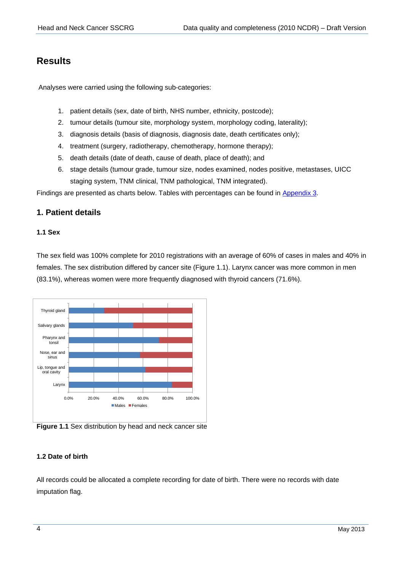# <span id="page-6-0"></span>**Results**

Analyses were carried using the following sub-categories:

- 1. patient details (sex, date of birth, NHS number, ethnicity, postcode);
- 2. tumour details (tumour site, morphology system, morphology coding, laterality);
- 3. diagnosis details (basis of diagnosis, diagnosis date, death certificates only);
- 4. treatment (surgery, radiotherapy, chemotherapy, hormone therapy);
- 5. death details (date of death, cause of death, place of death); and
- 6. stage details (tumour grade, tumour size, nodes examined, nodes positive, metastases, UICC staging system, TNM clinical, TNM pathological, TNM integrated).

Findings are presented as charts below. Tables with percentages can be found in [Appendix 3.](#page-32-0)

#### <span id="page-6-1"></span>**1. Patient details**

#### <span id="page-6-2"></span>**1.1 Sex**

The sex field was 100% complete for 2010 registrations with an average of 60% of cases in males and 40% in females. The sex distribution differed by cancer site (Figure 1.1). Larynx cancer was more common in men (83.1%), whereas women were more frequently diagnosed with thyroid cancers (71.6%).



**Figure 1.1** Sex distribution by head and neck cancer site

#### <span id="page-6-3"></span>**1.2 Date of birth**

All records could be allocated a complete recording for date of birth. There were no records with date imputation flag.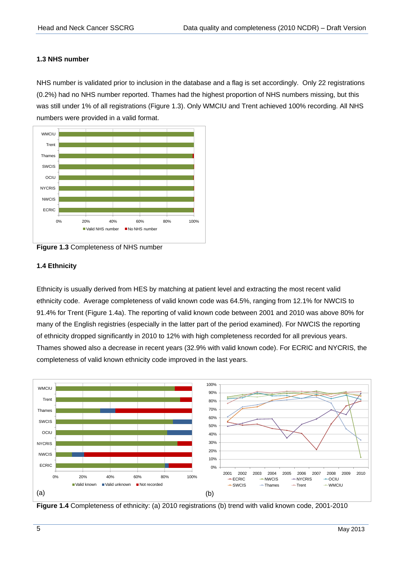#### <span id="page-7-0"></span>**1.3 NHS number**

NHS number is validated prior to inclusion in the database and a flag is set accordingly. Only 22 registrations (0.2%) had no NHS number reported. Thames had the highest proportion of NHS numbers missing, but this was still under 1% of all registrations (Figure 1.3). Only WMCIU and Trent achieved 100% recording. All NHS numbers were provided in a valid format.



**Figure 1.3** Completeness of NHS number

#### <span id="page-7-1"></span>**1.4 Ethnicity**

Ethnicity is usually derived from HES by matching at patient level and extracting the most recent valid ethnicity code. Average completeness of valid known code was 64.5%, ranging from 12.1% for NWCIS to 91.4% for Trent (Figure 1.4a). The reporting of valid known code between 2001 and 2010 was above 80% for many of the English registries (especially in the latter part of the period examined). For NWCIS the reporting of ethnicity dropped significantly in 2010 to 12% with high completeness recorded for all previous years. Thames showed also a decrease in recent years (32.9% with valid known code). For ECRIC and NYCRIS, the completeness of valid known ethnicity code improved in the last years.



**Figure 1.4** Completeness of ethnicity: (a) 2010 registrations (b) trend with valid known code, 2001-2010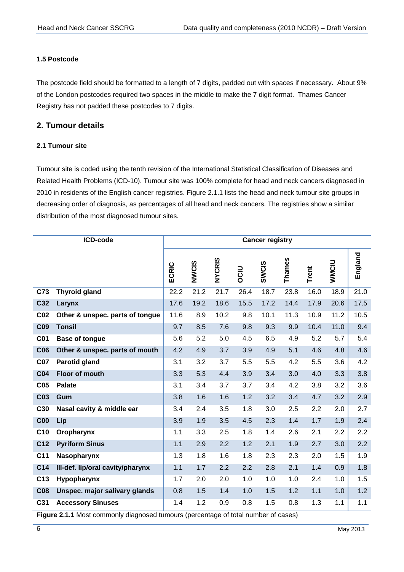#### <span id="page-8-0"></span>**1.5 Postcode**

The postcode field should be formatted to a length of 7 digits, padded out with spaces if necessary. About 9% of the London postcodes required two spaces in the middle to make the 7 digit format. Thames Cancer Registry has not padded these postcodes to 7 digits.

#### <span id="page-8-1"></span>**2. Tumour details**

#### <span id="page-8-2"></span>**2.1 Tumour site**

Tumour site is coded using the tenth revision of the International Statistical Classification of Diseases and Related Health Problems (ICD-10). Tumour site was 100% complete for head and neck cancers diagnosed in 2010 in residents of the English cancer registries. Figure 2.1.1 lists the head and neck tumour site groups in decreasing order of diagnosis, as percentages of all head and neck cancers. The registries show a similar distribution of the most diagnosed tumour sites.

|                 | ICD-code                         | <b>Cancer registry</b> |       |               |      |              |        |       |              |         |  |  |
|-----------------|----------------------------------|------------------------|-------|---------------|------|--------------|--------|-------|--------------|---------|--|--|
|                 |                                  | ECRIC                  | NWCIS | <b>NYCRIS</b> | OCIU | <b>SWCIS</b> | Thames | Trent | <b>WMCIU</b> | England |  |  |
| C73             | <b>Thyroid gland</b>             | 22.2                   | 21.2  | 21.7          | 26.4 | 18.7         | 23.8   | 16.0  | 18.9         | 21.0    |  |  |
| C32             | Larynx                           | 17.6                   | 19.2  | 18.6          | 15.5 | 17.2         | 14.4   | 17.9  | 20.6         | 17.5    |  |  |
| CO <sub>2</sub> | Other & unspec. parts of tongue  | 11.6                   | 8.9   | 10.2          | 9.8  | 10.1         | 11.3   | 10.9  | 11.2         | 10.5    |  |  |
| <b>C09</b>      | <b>Tonsil</b>                    | 9.7                    | 8.5   | 7.6           | 9.8  | 9.3          | 9.9    | 10.4  | 11.0         | 9.4     |  |  |
| <b>C01</b>      | <b>Base of tongue</b>            | 5.6                    | 5.2   | 5.0           | 4.5  | 6.5          | 4.9    | 5.2   | 5.7          | 5.4     |  |  |
| <b>C06</b>      | Other & unspec. parts of mouth   | 4.2                    | 4.9   | 3.7           | 3.9  | 4.9          | 5.1    | 4.6   | 4.8          | 4.6     |  |  |
| <b>C07</b>      | Parotid gland                    | 3.1                    | 3.2   | 3.7           | 5.5  | 5.5          | 4.2    | 5.5   | 3.6          | 4.2     |  |  |
| <b>C04</b>      | Floor of mouth                   | 3.3                    | 5.3   | 4.4           | 3.9  | 3.4          | 3.0    | 4.0   | 3.3          | 3.8     |  |  |
| C <sub>05</sub> | <b>Palate</b>                    | 3.1                    | 3.4   | 3.7           | 3.7  | 3.4          | 4.2    | 3.8   | 3.2          | 3.6     |  |  |
| C <sub>03</sub> | Gum                              | 3.8                    | 1.6   | 1.6           | 1.2  | 3.2          | 3.4    | 4.7   | 3.2          | 2.9     |  |  |
| C30             | Nasal cavity & middle ear        | 3.4                    | 2.4   | 3.5           | 1.8  | 3.0          | 2.5    | 2.2   | 2.0          | 2.7     |  |  |
| C <sub>00</sub> | Lip                              | 3.9                    | 1.9   | 3.5           | 4.5  | 2.3          | 1.4    | 1.7   | 1.9          | 2.4     |  |  |
| C <sub>10</sub> | Oropharynx                       | 1.1                    | 3.3   | 2.5           | 1.8  | 1.4          | 2.6    | 2.1   | 2.2          | 2.2     |  |  |
| C12             | <b>Pyriform Sinus</b>            | 1.1                    | 2.9   | 2.2           | 1.2  | 2.1          | 1.9    | 2.7   | 3.0          | 2.2     |  |  |
| C <sub>11</sub> | Nasopharynx                      | 1.3                    | 1.8   | 1.6           | 1.8  | 2.3          | 2.3    | 2.0   | 1.5          | 1.9     |  |  |
| C <sub>14</sub> | III-def. lip/oral cavity/pharynx | 1.1                    | 1.7   | 2.2           | 2.2  | 2.8          | 2.1    | 1.4   | 0.9          | 1.8     |  |  |
| C <sub>13</sub> | Hypopharynx                      | 1.7                    | 2.0   | 2.0           | 1.0  | 1.0          | 1.0    | 2.4   | 1.0          | 1.5     |  |  |
| <b>C08</b>      | Unspec. major salivary glands    | 0.8                    | 1.5   | 1.4           | 1.0  | 1.5          | 1.2    | 1.1   | 1.0          | 1.2     |  |  |
| C31             | <b>Accessory Sinuses</b>         | 1.4                    | 1.2   | 0.9           | 0.8  | 1.5          | 0.8    | 1.3   | 1.1          | 1.1     |  |  |

**Figure 2.1.1** Most commonly diagnosed tumours (percentage of total number of cases)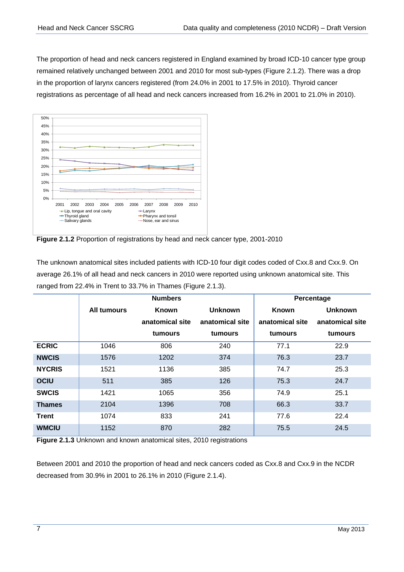The proportion of head and neck cancers registered in England examined by broad ICD-10 cancer type group remained relatively unchanged between 2001 and 2010 for most sub-types (Figure 2.1.2). There was a drop in the proportion of larynx cancers registered (from 24.0% in 2001 to 17.5% in 2010). Thyroid cancer registrations as percentage of all head and neck cancers increased from 16.2% in 2001 to 21.0% in 2010).



**Figure 2.1.2** Proportion of registrations by head and neck cancer type, 2001-2010

The unknown anatomical sites included patients with ICD-10 four digit codes coded of Cxx.8 and Cxx.9. On average 26.1% of all head and neck cancers in 2010 were reported using unknown anatomical site. This ranged from 22.4% in Trent to 33.7% in Thames (Figure 2.1.3).

|               |                    | <b>Numbers</b>  |                 | Percentage      |                 |  |  |
|---------------|--------------------|-----------------|-----------------|-----------------|-----------------|--|--|
|               | <b>All tumours</b> | Known           | <b>Unknown</b>  | Known           | <b>Unknown</b>  |  |  |
|               |                    | anatomical site | anatomical site | anatomical site | anatomical site |  |  |
|               |                    | tumours         | tumours         | tumours         | tumours         |  |  |
| <b>ECRIC</b>  | 1046               | 806             | 240             | 77.1            | 22.9            |  |  |
| <b>NWCIS</b>  | 1576               | 1202            | 374             | 76.3            | 23.7            |  |  |
| <b>NYCRIS</b> | 1521               | 1136            | 385             | 74.7            | 25.3            |  |  |
| <b>OCIU</b>   | 511                | 385             | 126             | 75.3            | 24.7            |  |  |
| <b>SWCIS</b>  | 1421               | 1065            | 356             | 74.9            | 25.1            |  |  |
| <b>Thames</b> | 2104               | 1396            | 708             | 66.3            | 33.7            |  |  |
| <b>Trent</b>  | 1074               | 833             | 241             | 77.6            | 22.4            |  |  |
| <b>WMCIU</b>  | 1152               | 870             | 282             | 75.5            | 24.5            |  |  |

**Figure 2.1.3** Unknown and known anatomical sites, 2010 registrations

Between 2001 and 2010 the proportion of head and neck cancers coded as Cxx.8 and Cxx.9 in the NCDR decreased from 30.9% in 2001 to 26.1% in 2010 (Figure 2.1.4).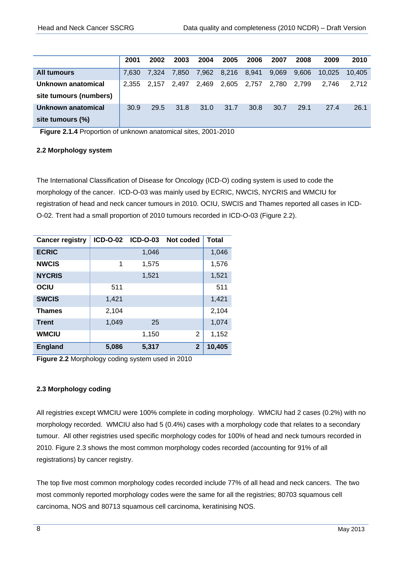|                        | 2001  | 2002  | 2003  | 2004  | 2005        | 2006 | 2007  | 2008  | 2009   | 2010   |
|------------------------|-------|-------|-------|-------|-------------|------|-------|-------|--------|--------|
| <b>All tumours</b>     | 7.630 | 7.324 | 7.850 | 7.962 | 8,216 8,941 |      | 9.069 | 9.606 | 10.025 | 10.405 |
| Unknown anatomical     | 2.355 | 2.157 | 2.497 | 2.469 | 2.605 2.757 |      | 2.780 | 2.799 | 2.746  | 2.712  |
| site tumours (numbers) |       |       |       |       |             |      |       |       |        |        |
| Unknown anatomical     | 30.9  | 29.5  | 31.8  | 31.0  | 31.7        | 30.8 | 30.7  | 29.1  | 27.4   | 26.1   |
| site tumours (%)       |       |       |       |       |             |      |       |       |        |        |

**Figure 2.1.4** Proportion of unknown anatomical sites, 2001-2010

#### <span id="page-10-0"></span>**2.2 Morphology system**

The International Classification of Disease for Oncology (ICD-O) coding system is used to code the morphology of the cancer. ICD-O-03 was mainly used by ECRIC, NWCIS, NYCRIS and WMCIU for registration of head and neck cancer tumours in 2010. OCIU, SWCIS and Thames reported all cases in ICD-O-02. Trent had a small proportion of 2010 tumours recorded in ICD-O-03 (Figure 2.2).

| <b>Cancer registry</b> | <b>ICD-0-02</b> | <b>ICD-0-03</b> | Not coded    | <b>Total</b> |
|------------------------|-----------------|-----------------|--------------|--------------|
| <b>ECRIC</b>           |                 | 1,046           |              | 1,046        |
| <b>NWCIS</b>           | 1               | 1,575           |              | 1,576        |
| <b>NYCRIS</b>          |                 | 1,521           |              | 1,521        |
| OCIU                   | 511             |                 |              | 511          |
| <b>SWCIS</b>           | 1,421           |                 |              | 1,421        |
| <b>Thames</b>          | 2,104           |                 |              | 2,104        |
| <b>Trent</b>           | 1,049           | 25              |              | 1,074        |
| <b>WMCIU</b>           |                 | 1,150           | 2            | 1,152        |
| <b>England</b>         | 5,086           | 5,317           | $\mathbf{2}$ | 10,405       |

**Figure 2.2** Morphology coding system used in 2010

#### <span id="page-10-1"></span>**2.3 Morphology coding**

All registries except WMCIU were 100% complete in coding morphology. WMCIU had 2 cases (0.2%) with no morphology recorded. WMCIU also had 5 (0.4%) cases with a morphology code that relates to a secondary tumour. All other registries used specific morphology codes for 100% of head and neck tumours recorded in 2010. Figure 2.3 shows the most common morphology codes recorded (accounting for 91% of all registrations) by cancer registry.

The top five most common morphology codes recorded include 77% of all head and neck cancers. The two most commonly reported morphology codes were the same for all the registries; 80703 squamous cell carcinoma, NOS and 80713 squamous cell carcinoma, keratinising NOS.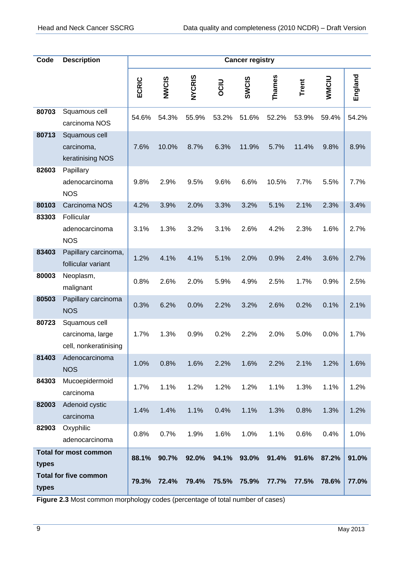| Code           | <b>Description</b>                                           | <b>Cancer registry</b> |                |                |                |                |                |                |                |                |
|----------------|--------------------------------------------------------------|------------------------|----------------|----------------|----------------|----------------|----------------|----------------|----------------|----------------|
|                |                                                              | ECRIC                  | NWCIS          | <b>NYCRIS</b>  | OCIU           | <b>SWCIS</b>   | Thames         | <b>Trent</b>   | WMCIU          | England        |
| 80703          | Squamous cell<br>carcinoma NOS                               | 54.6%                  | 54.3%          | 55.9%          | 53.2%          | 51.6%          | 52.2%          | 53.9%          | 59.4%          | 54.2%          |
| 80713          | Squamous cell<br>carcinoma,<br>keratinising NOS              | 7.6%                   | 10.0%          | 8.7%           | 6.3%           | 11.9%          | 5.7%           | 11.4%          | 9.8%           | 8.9%           |
| 82603          | Papillary<br>adenocarcinoma<br><b>NOS</b>                    | 9.8%                   | 2.9%           | 9.5%           | 9.6%           | 6.6%           | 10.5%          | 7.7%           | 5.5%           | 7.7%           |
| 80103          | Carcinoma NOS                                                | 4.2%                   | 3.9%           | 2.0%           | 3.3%           | 3.2%           | 5.1%           | 2.1%           | 2.3%           | 3.4%           |
| 83303          | Follicular<br>adenocarcinoma<br><b>NOS</b>                   | 3.1%                   | 1.3%           | 3.2%           | 3.1%           | 2.6%           | 4.2%           | 2.3%           | 1.6%           | 2.7%           |
| 83403          | Papillary carcinoma,<br>follicular variant                   | 1.2%                   | 4.1%           | 4.1%           | 5.1%           | 2.0%           | 0.9%           | 2.4%           | 3.6%           | 2.7%           |
| 80003          | Neoplasm,<br>malignant                                       | 0.8%                   | 2.6%           | 2.0%           | 5.9%           | 4.9%           | 2.5%           | 1.7%           | 0.9%           | 2.5%           |
| 80503          | Papillary carcinoma<br><b>NOS</b>                            | 0.3%                   | 6.2%           | 0.0%           | 2.2%           | 3.2%           | 2.6%           | 0.2%           | 0.1%           | 2.1%           |
| 80723          | Squamous cell<br>carcinoma, large<br>cell, nonkeratinising   | 1.7%                   | 1.3%           | 0.9%           | 0.2%           | 2.2%           | 2.0%           | 5.0%           | 0.0%           | 1.7%           |
| 81403          | Adenocarcinoma<br><b>NOS</b>                                 | 1.0%                   | 0.8%           | 1.6%           | 2.2%           | 1.6%           | 2.2%           | 2.1%           | 1.2%           | 1.6%           |
| 84303          | Mucoepidermoid<br>carcinoma                                  | 1.7%                   | 1.1%           | 1.2%           | 1.2%           | 1.2%           | 1.1%           | 1.3%           | 1.1%           | 1.2%           |
| 82003          | Adenoid cystic<br>carcinoma                                  | 1.4%                   | 1.4%           | 1.1%           | 0.4%           | 1.1%           | 1.3%           | 0.8%           | 1.3%           | 1.2%           |
| 82903          | Oxyphilic<br>adenocarcinoma                                  | 0.8%                   | 0.7%           | 1.9%           | 1.6%           | 1.0%           | 1.1%           | 0.6%           | 0.4%           | 1.0%           |
| types<br>types | <b>Total for most common</b><br><b>Total for five common</b> | 88.1%<br>79.3%         | 90.7%<br>72.4% | 92.0%<br>79.4% | 94.1%<br>75.5% | 93.0%<br>75.9% | 91.4%<br>77.7% | 91.6%<br>77.5% | 87.2%<br>78.6% | 91.0%<br>77.0% |

**Figure 2.3** Most common morphology codes (percentage of total number of cases)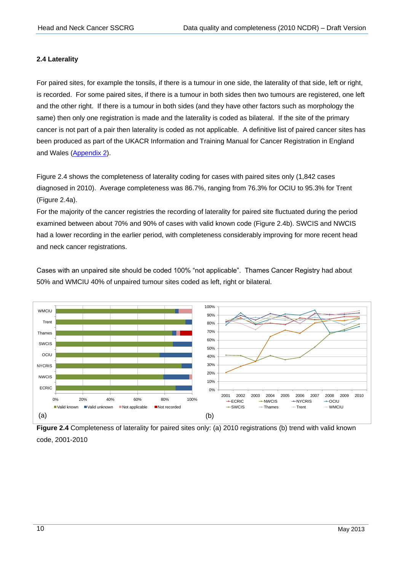#### <span id="page-12-0"></span>**2.4 Laterality**

For paired sites, for example the tonsils, if there is a tumour in one side, the laterality of that side, left or right, is recorded. For some paired sites, if there is a tumour in both sides then two tumours are registered, one left and the other right. If there is a tumour in both sides (and they have other factors such as morphology the same) then only one registration is made and the laterality is coded as bilateral. If the site of the primary cancer is not part of a pair then laterality is coded as not applicable. A definitive list of paired cancer sites has been produced as part of the UKACR Information and Training Manual for Cancer Registration in England and Wales [\(Appendix 2\)](#page-31-0).

Figure 2.4 shows the completeness of laterality coding for cases with paired sites only (1,842 cases diagnosed in 2010). Average completeness was 86.7%, ranging from 76.3% for OCIU to 95.3% for Trent (Figure 2.4a).

For the majority of the cancer registries the recording of laterality for paired site fluctuated during the period examined between about 70% and 90% of cases with valid known code (Figure 2.4b). SWCIS and NWCIS had a lower recording in the earlier period, with completeness considerably improving for more recent head and neck cancer registrations.

Cases with an unpaired site should be coded 100% "not applicable". Thames Cancer Registry had about 50% and WMCIU 40% of unpaired tumour sites coded as left, right or bilateral.



**Figure 2.4** Completeness of laterality for paired sites only: (a) 2010 registrations (b) trend with valid known code, 2001-2010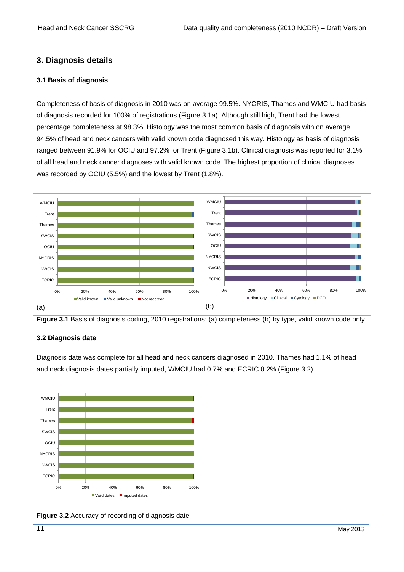### <span id="page-13-0"></span>**3. Diagnosis details**

#### <span id="page-13-1"></span>**3.1 Basis of diagnosis**

Completeness of basis of diagnosis in 2010 was on average 99.5%. NYCRIS, Thames and WMCIU had basis of diagnosis recorded for 100% of registrations (Figure 3.1a). Although still high, Trent had the lowest percentage completeness at 98.3%. Histology was the most common basis of diagnosis with on average 94.5% of head and neck cancers with valid known code diagnosed this way. Histology as basis of diagnosis ranged between 91.9% for OCIU and 97.2% for Trent (Figure 3.1b). Clinical diagnosis was reported for 3.1% of all head and neck cancer diagnoses with valid known code. The highest proportion of clinical diagnoses was recorded by OCIU (5.5%) and the lowest by Trent (1.8%).



**Figure 3.1** Basis of diagnosis coding, 2010 registrations: (a) completeness (b) by type, valid known code only

#### <span id="page-13-2"></span>**3.2 Diagnosis date**

Diagnosis date was complete for all head and neck cancers diagnosed in 2010. Thames had 1.1% of head and neck diagnosis dates partially imputed, WMCIU had 0.7% and ECRIC 0.2% (Figure 3.2).



**Figure 3.2** Accuracy of recording of diagnosis date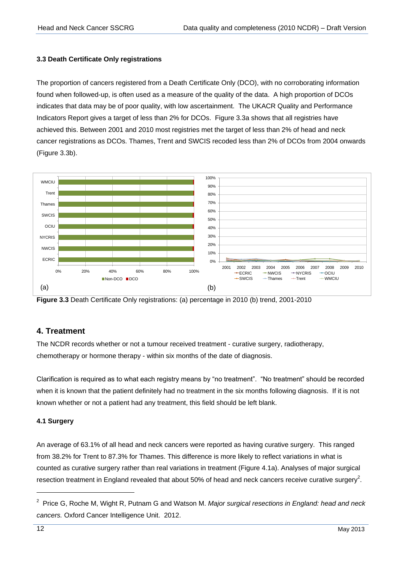#### <span id="page-14-0"></span>**3.3 Death Certificate Only registrations**

The proportion of cancers registered from a Death Certificate Only (DCO), with no corroborating information found when followed-up, is often used as a measure of the quality of the data. A high proportion of DCOs indicates that data may be of poor quality, with low ascertainment. The UKACR Quality and Performance Indicators Report gives a target of less than 2% for DCOs. Figure 3.3a shows that all registries have achieved this. Between 2001 and 2010 most registries met the target of less than 2% of head and neck cancer registrations as DCOs. Thames, Trent and SWCIS recoded less than 2% of DCOs from 2004 onwards (Figure 3.3b).





#### <span id="page-14-1"></span>**4. Treatment**

The NCDR records whether or not a tumour received treatment - curative surgery, radiotherapy, chemotherapy or hormone therapy - within six months of the date of diagnosis.

Clarification is required as to what each registry means by "no treatment". "No treatment" should be recorded when it is known that the patient definitely had no treatment in the six months following diagnosis. If it is not known whether or not a patient had any treatment, this field should be left blank.

#### <span id="page-14-2"></span>**4.1 Surgery**

An average of 63.1% of all head and neck cancers were reported as having curative surgery. This ranged from 38.2% for Trent to 87.3% for Thames. This difference is more likely to reflect variations in what is counted as curative surgery rather than real variations in treatment (Figure 4.1a). Analyses of major surgical resection treatment in England revealed that about 50% of head and neck cancers receive curative surgery<sup>2</sup>.

1

<sup>2</sup> Price G, Roche M, Wight R, Putnam G and Watson M. *Major surgical resections in England: head and neck cancers.* Oxford Cancer Intelligence Unit. 2012.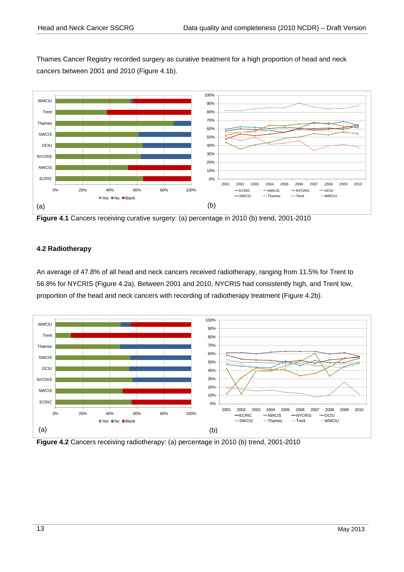Thames Cancer Registry recorded surgery as curative treatment for a high proportion of head and neck cancers between 2001 and 2010 (Figure 4.1b).



**Figure 4.1** Cancers receiving curative surgery: (a) percentage in 2010 (b) trend, 2001-2010

#### <span id="page-15-0"></span>**4.2 Radiotherapy**

An average of 47.8% of all head and neck cancers received radiotherapy, ranging from 11.5% for Trent to 56.8% for NYCRIS (Figure 4.2a). Between 2001 and 2010, NYCRIS had consistently high, and Trent low, proportion of the head and neck cancers with recording of radiotherapy treatment (Figure 4.2b).



**Figure 4.2** Cancers receiving radiotherapy: (a) percentage in 2010 (b) trend, 2001-2010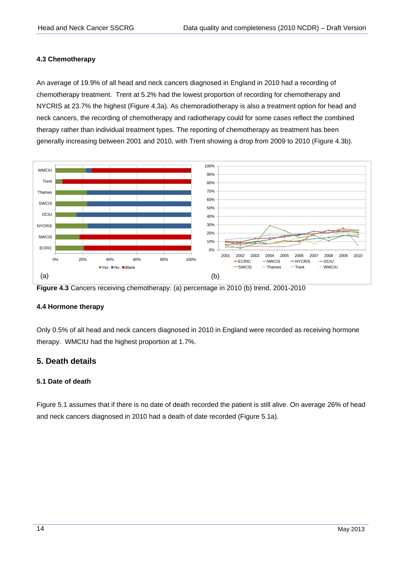#### <span id="page-16-0"></span>**4.3 Chemotherapy**

An average of 19.9% of all head and neck cancers diagnosed in England in 2010 had a recording of chemotherapy treatment. Trent at 5.2% had the lowest proportion of recording for chemotherapy and NYCRIS at 23.7% the highest (Figure 4.3a). As chemoradiotherapy is also a treatment option for head and neck cancers, the recording of chemotherapy and radiotherapy could for some cases reflect the combined therapy rather than individual treatment types. The reporting of chemotherapy as treatment has been generally increasing between 2001 and 2010, with Trent showing a drop from 2009 to 2010 (Figure 4.3b).





#### <span id="page-16-1"></span>**4.4 Hormone therapy**

Only 0.5% of all head and neck cancers diagnosed in 2010 in England were recorded as receiving hormone therapy. WMCIU had the highest proportion at 1.7%.

#### <span id="page-16-2"></span>**5. Death details**

#### <span id="page-16-3"></span>**5.1 Date of death**

Figure 5.1 assumes that if there is no date of death recorded the patient is still alive. On average 26% of head and neck cancers diagnosed in 2010 had a death of date recorded (Figure 5.1a).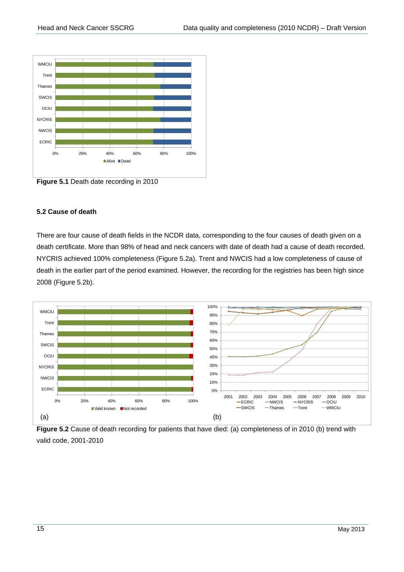

**Figure 5.1** Death date recording in 2010

#### <span id="page-17-0"></span>**5.2 Cause of death**

There are four cause of death fields in the NCDR data, corresponding to the four causes of death given on a death certificate. More than 98% of head and neck cancers with date of death had a cause of death recorded. NYCRIS achieved 100% completeness (Figure 5.2a). Trent and NWCIS had a low completeness of cause of death in the earlier part of the period examined. However, the recording for the registries has been high since 2008 (Figure 5.2b).



**Figure 5.2** Cause of death recording for patients that have died: (a) completeness of in 2010 (b) trend with valid code, 2001-2010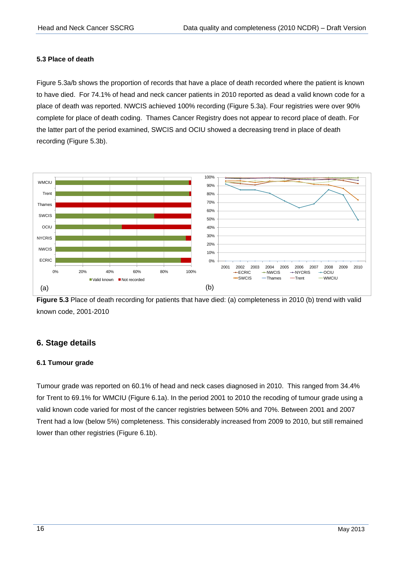#### <span id="page-18-0"></span>**5.3 Place of death**

Figure 5.3a/b shows the proportion of records that have a place of death recorded where the patient is known to have died. For 74.1% of head and neck cancer patients in 2010 reported as dead a valid known code for a place of death was reported. NWCIS achieved 100% recording (Figure 5.3a). Four registries were over 90% complete for place of death coding. Thames Cancer Registry does not appear to record place of death. For the latter part of the period examined, SWCIS and OCIU showed a decreasing trend in place of death recording (Figure 5.3b).



**Figure 5.3** Place of death recording for patients that have died: (a) completeness in 2010 (b) trend with valid known code, 2001-2010

## <span id="page-18-1"></span>**6. Stage details**

#### <span id="page-18-2"></span>**6.1 Tumour grade**

Tumour grade was reported on 60.1% of head and neck cases diagnosed in 2010. This ranged from 34.4% for Trent to 69.1% for WMCIU (Figure 6.1a). In the period 2001 to 2010 the recoding of tumour grade using a valid known code varied for most of the cancer registries between 50% and 70%. Between 2001 and 2007 Trent had a low (below 5%) completeness. This considerably increased from 2009 to 2010, but still remained lower than other registries (Figure 6.1b).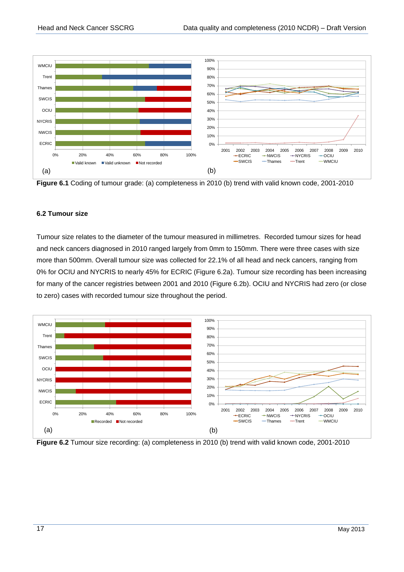

**Figure 6.1** Coding of tumour grade: (a) completeness in 2010 (b) trend with valid known code, 2001-2010

#### <span id="page-19-0"></span>**6.2 Tumour size**

Tumour size relates to the diameter of the tumour measured in millimetres. Recorded tumour sizes for head and neck cancers diagnosed in 2010 ranged largely from 0mm to 150mm. There were three cases with size more than 500mm. Overall tumour size was collected for 22.1% of all head and neck cancers, ranging from 0% for OCIU and NYCRIS to nearly 45% for ECRIC (Figure 6.2a). Tumour size recording has been increasing for many of the cancer registries between 2001 and 2010 (Figure 6.2b). OCIU and NYCRIS had zero (or close to zero) cases with recorded tumour size throughout the period.



**Figure 6.2** Tumour size recording: (a) completeness in 2010 (b) trend with valid known code, 2001-2010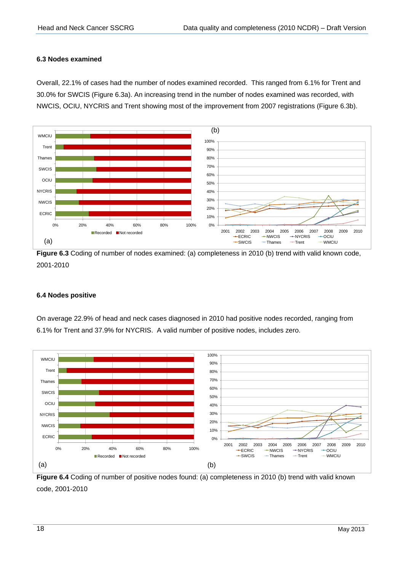#### <span id="page-20-0"></span>**6.3 Nodes examined**

Overall, 22.1% of cases had the number of nodes examined recorded. This ranged from 6.1% for Trent and 30.0% for SWCIS (Figure 6.3a). An increasing trend in the number of nodes examined was recorded, with NWCIS, OCIU, NYCRIS and Trent showing most of the improvement from 2007 registrations (Figure 6.3b).



**Figure 6.3** Coding of number of nodes examined: (a) completeness in 2010 (b) trend with valid known code, 2001-2010

#### <span id="page-20-1"></span>**6.4 Nodes positive**

On average 22.9% of head and neck cases diagnosed in 2010 had positive nodes recorded, ranging from 6.1% for Trent and 37.9% for NYCRIS. A valid number of positive nodes, includes zero.



**Figure 6.4** Coding of number of positive nodes found: (a) completeness in 2010 (b) trend with valid known code, 2001-2010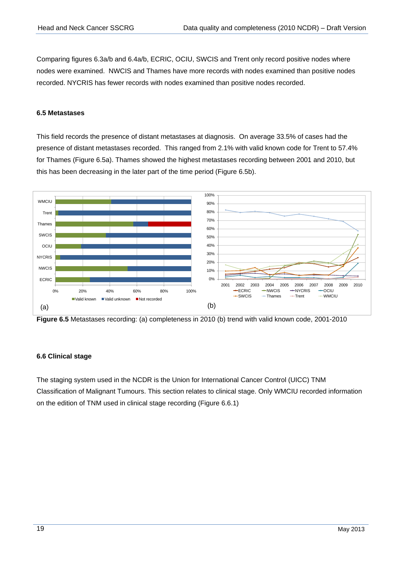Comparing figures 6.3a/b and 6.4a/b, ECRIC, OCIU, SWCIS and Trent only record positive nodes where nodes were examined. NWCIS and Thames have more records with nodes examined than positive nodes recorded. NYCRIS has fewer records with nodes examined than positive nodes recorded.

#### <span id="page-21-0"></span>**6.5 Metastases**

This field records the presence of distant metastases at diagnosis. On average 33.5% of cases had the presence of distant metastases recorded. This ranged from 2.1% with valid known code for Trent to 57.4% for Thames (Figure 6.5a). Thames showed the highest metastases recording between 2001 and 2010, but this has been decreasing in the later part of the time period (Figure 6.5b).



**Figure 6.5** Metastases recording: (a) completeness in 2010 (b) trend with valid known code, 2001-2010

#### <span id="page-21-1"></span>**6.6 Clinical stage**

The staging system used in the NCDR is the Union for International Cancer Control (UICC) TNM Classification of Malignant Tumours. This section relates to clinical stage. Only WMCIU recorded information on the edition of TNM used in clinical stage recording (Figure 6.6.1)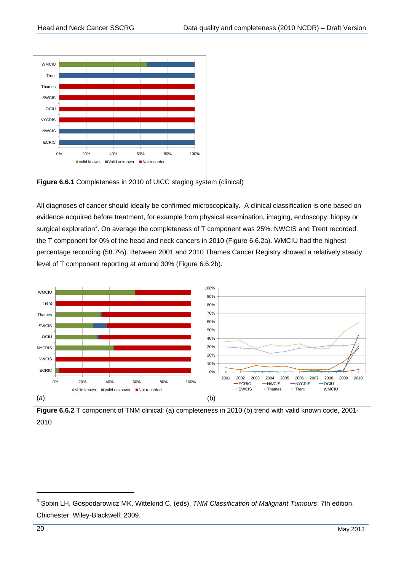

**Figure 6.6.1** Completeness in 2010 of UICC staging system (clinical)

<span id="page-22-0"></span>All diagnoses of cancer should ideally be confirmed microscopically. A clinical classification is one based on evidence acquired before treatment, for example from physical examination, imaging, endoscopy, biopsy or surgical exploration<sup>3</sup>. On average the completeness of T component was 25%. NWCIS and Trent recorded the T component for 0% of the head and neck cancers in 2010 (Figure 6.6.2a). WMCIU had the highest percentage recording (58.7%). Between 2001 and 2010 Thames Cancer Registry showed a relatively steady level of T component reporting at around 30% (Figure 6.6.2b).



**Figure 6.6.2** T component of TNM clinical: (a) completeness in 2010 (b) trend with valid known code, 2001-2010

1

<sup>3</sup> Sobin LH, Gospodarowicz MK, Wittekind C, (eds). *TNM Classification of Malignant Tumours*. 7th edition. Chichester: Wiley-Blackwell; 2009.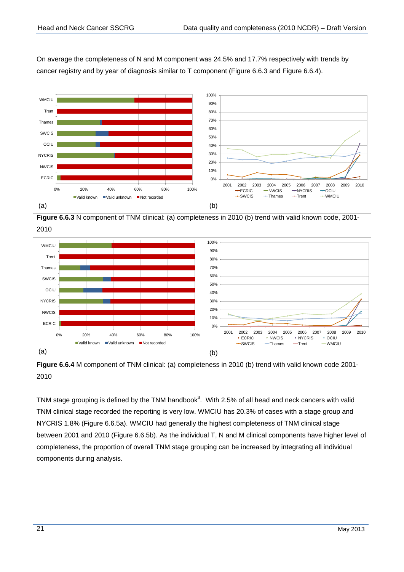On average the completeness of N and M component was 24.5% and 17.7% respectively with trends by cancer registry and by year of diagnosis similar to T component (Figure 6.6.3 and Figure 6.6.4).



**Figure 6.6.3** N component of TNM clinical: (a) completeness in 2010 (b) trend with valid known code, 2001- 2010



**Figure 6.6.4** M component of TNM clinical: (a) completeness in 2010 (b) trend with valid known code 2001- 2010

TNM stage grouping is defined by the TNM handboo[k](#page-22-0)<sup>3</sup>. With 2.5% of all head and neck cancers with valid TNM clinical stage recorded the reporting is very low. WMCIU has 20.3% of cases with a stage group and NYCRIS 1.8% (Figure 6.6.5a). WMCIU had generally the highest completeness of TNM clinical stage between 2001 and 2010 (Figure 6.6.5b). As the individual T, N and M clinical components have higher level of completeness, the proportion of overall TNM stage grouping can be increased by integrating all individual components during analysis.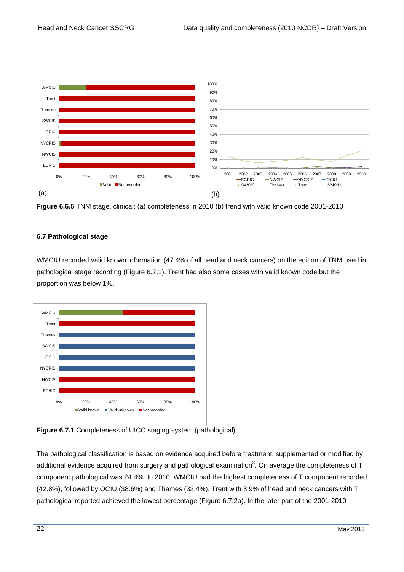

**Figure 6.6.5** TNM stage, clinical: (a) completeness in 2010 (b) trend with valid known code 2001-2010

#### <span id="page-24-0"></span>**6.7 Pathological stage**

WMCIU recorded valid known information (47.4% of all head and neck cancers) on the edition of TNM used in pathological stage recording (Figure 6.7.1). Trent had also some cases with valid known code but the proportion was below 1%.



**Figure 6.7.1** Completeness of UICC staging system (pathological)

The pathological classification is based on evidence acquired before treatment, supplemented or modified by additional evidence acquired from surgery and pathological examination<sup>3</sup>[.](#page-22-0) On average the completeness of T component pathological was 24.4%. In 2010, WMCIU had the highest completeness of T component recorded (42.8%), followed by OCIU (38.6%) and Thames (32.4%). Trent with 3.9% of head and neck cancers with T pathological reported achieved the lowest percentage (Figure 6.7.2a). In the later part of the 2001-2010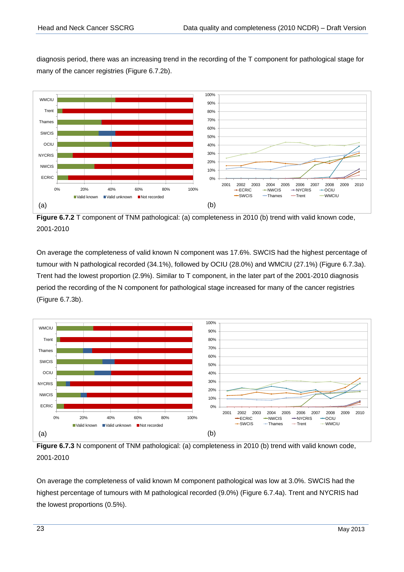diagnosis period, there was an increasing trend in the recording of the T component for pathological stage for many of the cancer registries (Figure 6.7.2b).



**Figure 6.7.2** T component of TNM pathological: (a) completeness in 2010 (b) trend with valid known code, 2001-2010

On average the completeness of valid known N component was 17.6%. SWCIS had the highest percentage of tumour with N pathological recorded (34.1%), followed by OCIU (28.0%) and WMCIU (27.1%) (Figure 6.7.3a). Trent had the lowest proportion (2.9%). Similar to T component, in the later part of the 2001-2010 diagnosis period the recording of the N component for pathological stage increased for many of the cancer registries (Figure 6.7.3b).



Figure 6.7.3 N component of TNM pathological: (a) completeness in 2010 (b) trend with valid known code, 2001-2010

On average the completeness of valid known M component pathological was low at 3.0%. SWCIS had the highest percentage of tumours with M pathological recorded (9.0%) (Figure 6.7.4a). Trent and NYCRIS had the lowest proportions (0.5%).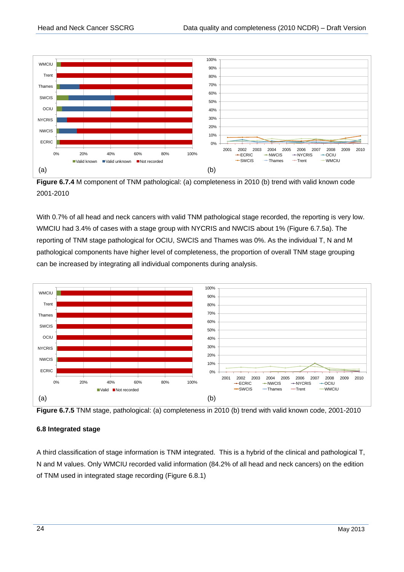

Figure 6.7.4 M component of TNM pathological: (a) completeness in 2010 (b) trend with valid known code 2001-2010

With 0.7% of all head and neck cancers with valid TNM pathological stage recorded, the reporting is very low. WMCIU had 3.4% of cases with a stage group with NYCRIS and NWCIS about 1% (Figure 6.7.5a). The reporting of TNM stage pathological for OCIU, SWCIS and Thames was 0%. As the individual T, N and M pathological components have higher level of completeness, the proportion of overall TNM stage grouping can be increased by integrating all individual components during analysis.



**Figure 6.7.5** TNM stage, pathological: (a) completeness in 2010 (b) trend with valid known code, 2001-2010

#### <span id="page-26-0"></span>**6.8 Integrated stage**

A third classification of stage information is TNM integrated. This is a hybrid of the clinical and pathological T, N and M values. Only WMCIU recorded valid information (84.2% of all head and neck cancers) on the edition of TNM used in integrated stage recording (Figure 6.8.1)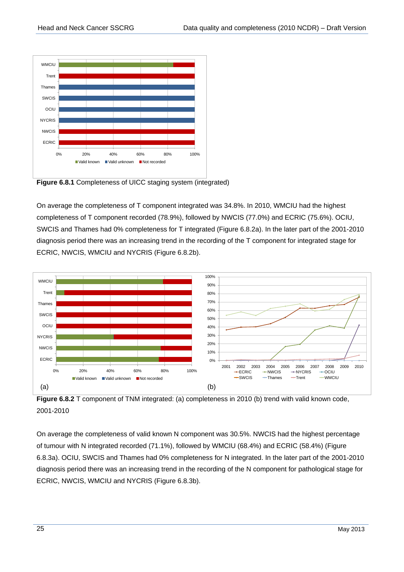

**Figure 6.8.1** Completeness of UICC staging system (integrated)

On average the completeness of T component integrated was 34.8%. In 2010, WMCIU had the highest completeness of T component recorded (78.9%), followed by NWCIS (77.0%) and ECRIC (75.6%). OCIU, SWCIS and Thames had 0% completeness for T integrated (Figure 6.8.2a). In the later part of the 2001-2010 diagnosis period there was an increasing trend in the recording of the T component for integrated stage for ECRIC, NWCIS, WMCIU and NYCRIS (Figure 6.8.2b).



**Figure 6.8.2** T component of TNM integrated: (a) completeness in 2010 (b) trend with valid known code, 2001-2010

On average the completeness of valid known N component was 30.5%. NWCIS had the highest percentage of tumour with N integrated recorded (71.1%), followed by WMCIU (68.4%) and ECRIC (58.4%) (Figure 6.8.3a). OCIU, SWCIS and Thames had 0% completeness for N integrated. In the later part of the 2001-2010 diagnosis period there was an increasing trend in the recording of the N component for pathological stage for ECRIC, NWCIS, WMCIU and NYCRIS (Figure 6.8.3b).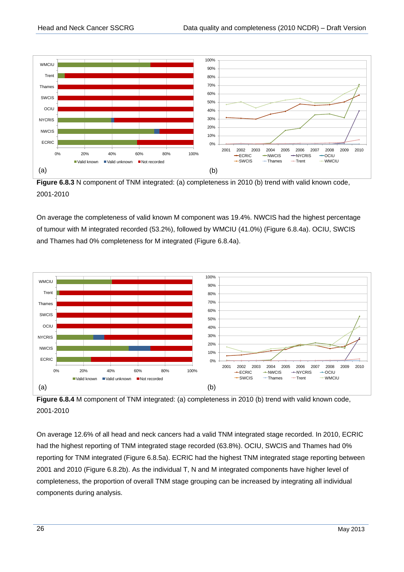

**Figure 6.8.3** N component of TNM integrated: (a) completeness in 2010 (b) trend with valid known code, 2001-2010

On average the completeness of valid known M component was 19.4%. NWCIS had the highest percentage of tumour with M integrated recorded (53.2%), followed by WMCIU (41.0%) (Figure 6.8.4a). OCIU, SWCIS and Thames had 0% completeness for M integrated (Figure 6.8.4a).



**Figure 6.8.4** M component of TNM integrated: (a) completeness in 2010 (b) trend with valid known code, 2001-2010

On average 12.6% of all head and neck cancers had a valid TNM integrated stage recorded. In 2010, ECRIC had the highest reporting of TNM integrated stage recorded (63.8%). OCIU, SWCIS and Thames had 0% reporting for TNM integrated (Figure 6.8.5a). ECRIC had the highest TNM integrated stage reporting between 2001 and 2010 (Figure 6.8.2b). As the individual T, N and M integrated components have higher level of completeness, the proportion of overall TNM stage grouping can be increased by integrating all individual components during analysis.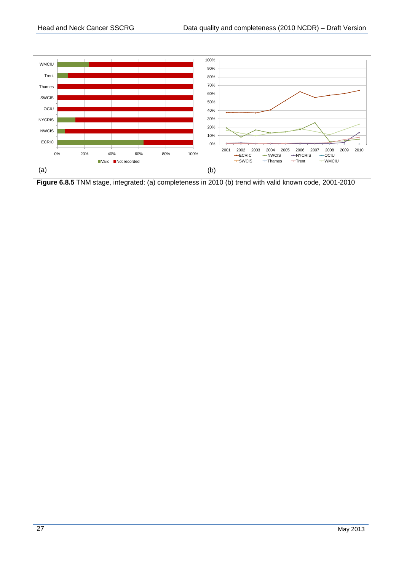

**Figure 6.8.5** TNM stage, integrated: (a) completeness in 2010 (b) trend with valid known code, 2001-2010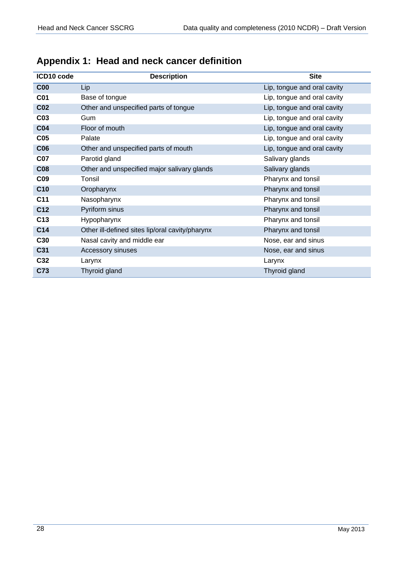<span id="page-30-0"></span>

| Appendix 1: Head and neck cancer definition |  |  |  |  |
|---------------------------------------------|--|--|--|--|
|---------------------------------------------|--|--|--|--|

| ICD10 code      | <b>Description</b>                              | <b>Site</b>                 |  |  |  |  |
|-----------------|-------------------------------------------------|-----------------------------|--|--|--|--|
| C <sub>00</sub> | Lip                                             | Lip, tongue and oral cavity |  |  |  |  |
| <b>C01</b>      | Base of tongue                                  | Lip, tongue and oral cavity |  |  |  |  |
| CO <sub>2</sub> | Other and unspecified parts of tongue           | Lip, tongue and oral cavity |  |  |  |  |
| C <sub>03</sub> | Gum                                             | Lip, tongue and oral cavity |  |  |  |  |
| <b>C04</b>      | Floor of mouth                                  | Lip, tongue and oral cavity |  |  |  |  |
| C <sub>05</sub> | Palate                                          | Lip, tongue and oral cavity |  |  |  |  |
| <b>C06</b>      | Other and unspecified parts of mouth            | Lip, tongue and oral cavity |  |  |  |  |
| <b>C07</b>      | Parotid gland                                   | Salivary glands             |  |  |  |  |
| <b>C08</b>      | Other and unspecified major salivary glands     | Salivary glands             |  |  |  |  |
| C <sub>09</sub> | Tonsil                                          | Pharynx and tonsil          |  |  |  |  |
| C10             | Oropharynx                                      | Pharynx and tonsil          |  |  |  |  |
| C11             | Nasopharynx                                     | Pharynx and tonsil          |  |  |  |  |
| C <sub>12</sub> | Pyriform sinus                                  | Pharynx and tonsil          |  |  |  |  |
| C <sub>13</sub> | Hypopharynx                                     | Pharynx and tonsil          |  |  |  |  |
| C14             | Other ill-defined sites lip/oral cavity/pharynx | Pharynx and tonsil          |  |  |  |  |
| C30             | Nasal cavity and middle ear                     | Nose, ear and sinus         |  |  |  |  |
| C31             | Accessory sinuses                               | Nose, ear and sinus         |  |  |  |  |
| C32             | Larynx                                          | Larynx                      |  |  |  |  |
| C73             | Thyroid gland                                   | Thyroid gland               |  |  |  |  |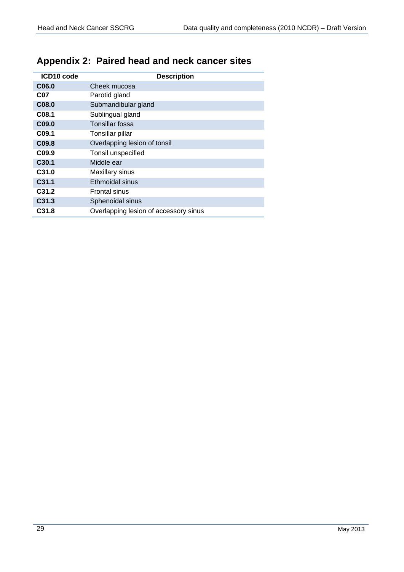<span id="page-31-0"></span>

| Appendix 2: Paired head and neck cancer sites |  |  |  |  |  |
|-----------------------------------------------|--|--|--|--|--|
|-----------------------------------------------|--|--|--|--|--|

| ICD10 code        | <b>Description</b>                    |
|-------------------|---------------------------------------|
| C <sub>06.0</sub> | Cheek mucosa                          |
| C07               | Parotid gland                         |
| C08.0             | Submandibular gland                   |
| C <sub>08.1</sub> | Sublingual gland                      |
| C <sub>09.0</sub> | Tonsillar fossa                       |
| C <sub>09.1</sub> | Tonsillar pillar                      |
| C <sub>09.8</sub> | Overlapping lesion of tonsil          |
| C <sub>09.9</sub> | Tonsil unspecified                    |
| C <sub>30.1</sub> | Middle ear                            |
| C <sub>31.0</sub> | Maxillary sinus                       |
| C <sub>31.1</sub> | Ethmoidal sinus                       |
| C <sub>31.2</sub> | <b>Frontal sinus</b>                  |
| C <sub>31.3</sub> | Sphenoidal sinus                      |
| C <sub>31.8</sub> | Overlapping lesion of accessory sinus |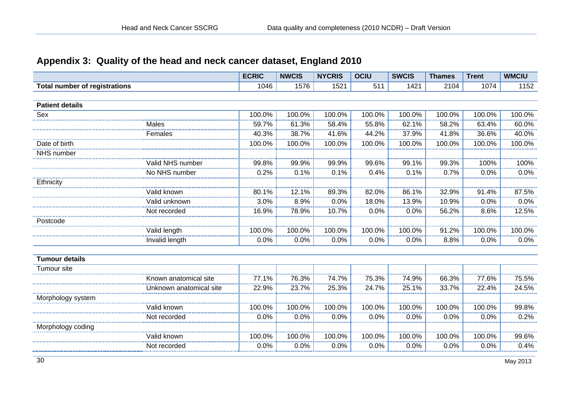# **Appendix 3: Quality of the head and neck cancer dataset, England 2010**

<span id="page-32-0"></span>

|                                      | <b>ECRIC</b> | <b>NWCIS</b> | <b>NYCRIS</b> | <b>OCIU</b> | <b>SWCIS</b> | <b>Thames</b> | <b>Trent</b> | <b>WMCIU</b>      |
|--------------------------------------|--------------|--------------|---------------|-------------|--------------|---------------|--------------|-------------------|
| <b>Total number of registrations</b> | 1046         | 1576         | 1521          | 511         | 1421         | 2104          | 1074         | 1152              |
|                                      |              |              |               |             |              |               |              |                   |
| <b>Patient details</b>               |              |              |               |             |              |               |              |                   |
| Sex                                  | 100.0%       | 100.0%       | 100.0%        | 100.0%      | 100.0%       | 100.0%        | 100.0%       | 100.0%            |
| Males                                | 59.7%        | 61.3%        | 58.4%         | 55.8%       | 62.1%        | 58.2%         | 63.4%        | 60.0%             |
| Females                              | 40.3%        | 38.7%        | 41.6%         | 44.2%       | 37.9%        | 41.8%         | 36.6%        | 40.0%             |
| Date of birth                        | 100.0%       | 100.0%       | 100.0%        | 100.0%      | 100.0%       | 100.0%        | 100.0%       | 100.0%            |
| NHS number                           |              |              |               |             |              |               |              |                   |
| Valid NHS number                     | 99.8%        | 99.9%        | 99.9%         | 99.6%       | 99.1%        | 99.3%         | 100%         | $\frac{1}{100\%}$ |
| No NHS number                        | 0.2%         | 0.1%         | 0.1%          | 0.4%        | 0.1%         | 0.7%          | 0.0%         | 0.0%              |
| Ethnicity                            |              |              |               |             |              |               |              |                   |
| Valid known                          | 80.1%        | 12.1%        | 89.3%         | 82.0%       | 86.1%        | 32.9%         | 91.4%        | 87.5%             |
| Valid unknown                        | 3.0%         | 8.9%         | 0.0%          | 18.0%       | 13.9%        | 10.9%         | 0.0%         | 0.0%              |
| Not recorded                         | 16.9%        | 78.9%        | 10.7%         | 0.0%        | 0.0%         | 56.2%         | 8.6%         | 12.5%             |
| Postcode                             |              |              |               |             |              |               |              |                   |
| Valid length                         | 100.0%       | 100.0%       | 100.0%        | 100.0%      | 100.0%       | 91.2%         | 100.0%       | 100.0%            |
| Invalid length                       | 0.0%         | 0.0%         | 0.0%          | 0.0%        | 0.0%         | 8.8%          | 0.0%         | 0.0%              |
|                                      |              |              |               |             |              |               |              |                   |
| <b>Tumour details</b>                |              |              |               |             |              |               |              |                   |
| Tumour site                          |              |              |               |             |              |               |              |                   |
| Known anatomical site                | 77.1%        | 76.3%        | 74.7%         | 75.3%       | 74.9%        | 66.3%         | 77.6%        | 75.5%             |
| Unknown anatomical site              | 22.9%        | 23.7%        | 25.3%         | 24.7%       | 25.1%        | 33.7%         | 22.4%        | 24.5%             |
| Morphology system                    |              |              |               |             |              |               |              |                   |
| Valid known                          | 100.0%       | 100.0%       | 100.0%        | 100.0%      | 100.0%       | 100.0%        | 100.0%       | 99.8%             |
| Not recorded                         | 0.0%         | 0.0%         | 0.0%          | 0.0%        | 0.0%         | 0.0%          | 0.0%         | 0.2%              |
| Morphology coding                    |              |              |               |             |              |               |              |                   |
| Valid known                          | 100.0%       | 100.0%       | 100.0%        | 100.0%      | 100.0%       | 100.0%        | 100.0%       | 99.6%             |
| Not recorded                         | 0.0%         | 0.0%         | 0.0%          | 0.0%        | 0.0%         | 0.0%          | 0.0%         | 0.4%              |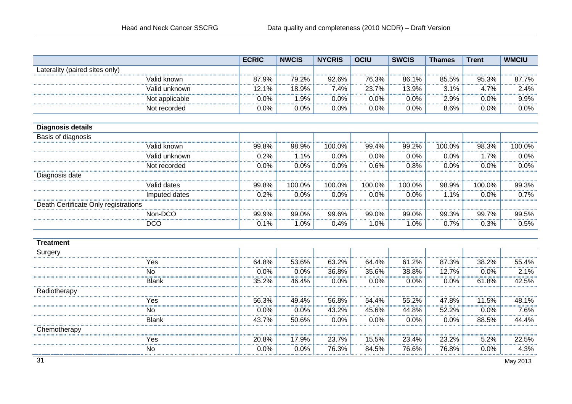|                                      |                | <b>ECRIC</b> | <b>NWCIS</b> | <b>NYCRIS</b> | <b>OCIU</b> | <b>SWCIS</b> | <b>Thames</b> | <b>Trent</b> | <b>WMCIU</b> |
|--------------------------------------|----------------|--------------|--------------|---------------|-------------|--------------|---------------|--------------|--------------|
| Laterality (paired sites only)       |                |              |              |               |             |              |               |              |              |
|                                      | Valid known    | 87.9%        | 79.2%        | 92.6%         | 76.3%       | 86.1%        | 85.5%         | 95.3%        | 87.7%        |
|                                      | Valid unknown  | 12.1%        | 18.9%        | 7.4%          | 23.7%       | 13.9%        | 3.1%          | 4.7%         | 2.4%<br>.    |
|                                      | Not applicable | 0.0%         | 1.9%         | 0.0%          | 0.0%        | 0.0%         | 2.9%          | 0.0%         | 9.9%         |
|                                      | Not recorded   | 0.0%         | 0.0%         | 0.0%          | 0.0%        | 0.0%         | 8.6%          | 0.0%         | $0.0\%$      |
|                                      |                |              |              |               |             |              |               |              |              |
| <b>Diagnosis details</b>             |                |              |              |               |             |              |               |              |              |
| Basis of diagnosis                   |                |              |              |               |             |              |               |              |              |
|                                      | Valid known    | 99.8%        | 98.9%        | 100.0%        | 99.4%       | 99.2%        | 100.0%        | 98.3%        | 100.0%       |
|                                      | Valid unknown  | 0.2%         | 1.1%         | 0.0%          | 0.0%        | 0.0%         | 0.0%          | 1.7%         | 0.0%         |
|                                      | Not recorded   | 0.0%         | 0.0%         | 0.0%          | 0.6%        | 0.8%         | 0.0%          | 0.0%         | 0.0%         |
| Diagnosis date                       |                |              |              |               |             |              |               |              |              |
|                                      | Valid dates    | 99.8%        | 100.0%       | 100.0%        | 100.0%      | 100.0%       | 98.9%         | 100.0%       | 99.3%        |
|                                      | Imputed dates  | 0.2%         | 0.0%         | 0.0%          | 0.0%        | 0.0%         | 1.1%          | 0.0%         | 0.7%         |
| Death Certificate Only registrations |                |              |              |               |             |              |               |              |              |
|                                      | Non-DCO        | 99.9%        | 99.0%        | 99.6%         | 99.0%       | 99.0%        | 99.3%         | 99.7%        | 99.5%        |
|                                      | <b>DCO</b>     | 0.1%         | 1.0%         | 0.4%          | 1.0%        | 1.0%         | 0.7%          | 0.3%         | 0.5%         |
|                                      |                |              |              |               |             |              |               |              |              |
| <b>Treatment</b>                     |                |              |              |               |             |              |               |              |              |
| Surgery                              |                |              |              |               |             |              |               |              |              |
|                                      | Yes            | 64.8%        | 53.6%        | 63.2%         | 64.4%       | 61.2%        | 87.3%         | 38.2%        | 55.4%        |
|                                      | <b>No</b><br>. | 0.0%         | 0.0%         | 36.8%         | 35.6%       | 38.8%        | 12.7%         | 0.0%         | 2.1%         |
|                                      | <b>Blank</b>   | 35.2%        | 46.4%        | 0.0%          | 0.0%        | 0.0%         | 0.0%          | 61.8%        | 42.5%        |
| Radiotherapy                         |                |              |              |               |             |              |               |              |              |
|                                      | Yes            | 56.3%        | 49.4%        | 56.8%         | 54.4%       | 55.2%        | 47.8%         | 11.5%        | 48.1%        |
|                                      | No             | 0.0%         | 0.0%         | 43.2%         | 45.6%       | 44.8%        | 52.2%         | 0.0%         | 7.6%         |
|                                      | <b>Blank</b>   | 43.7%        | 50.6%        | 0.0%          | 0.0%        | 0.0%         | 0.0%          | 88.5%        | 44.4%        |
| Chemotherapy                         |                |              |              |               |             |              |               |              |              |
|                                      | Yes            | 20.8%        | 17.9%        | 23.7%         | 15.5%       | 23.4%        | 23.2%         | 5.2%         | 22.5%<br>    |
|                                      | No             | 0.0%         | 0.0%         | 76.3%         | 84.5%       | 76.6%        | 76.8%         | 0.0%         | 4.3%         |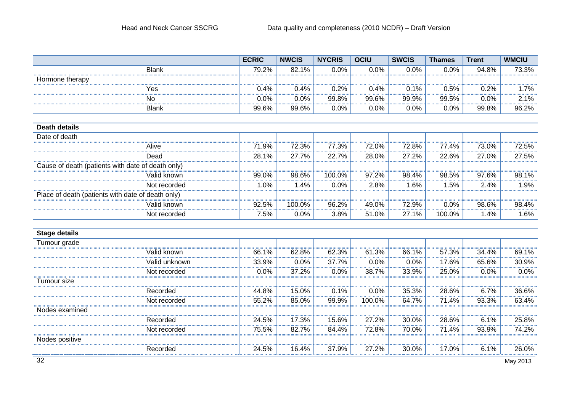|                                                   | <b>ECRIC</b>       | <b>NWCIS</b> | <b>NYCRIS</b> | <b>OCIU</b> | <b>SWCIS</b> | <b>Thames</b> | <b>Trent</b> | <b>WMCIU</b> |
|---------------------------------------------------|--------------------|--------------|---------------|-------------|--------------|---------------|--------------|--------------|
| <b>Blank</b>                                      | 79.2%              | 82.1%        | 0.0%          | 0.0%        | 0.0%         | 0.0%          | 94.8%        | 73.3%        |
| Hormone therapy                                   |                    |              |               |             |              |               |              |              |
| Yes                                               | 0.4%               | 0.4%         | 0.2%          | 0.4%        | 0.1%         | 0.5%          | 0.2%         | 1.7%         |
| No                                                | 0.0%               | 0.0%         | 99.8%         | 99.6%       | 99.9%        | 99.5%         | 0.0%         | 2.1%         |
| <b>Blank</b>                                      | 99.6%              | 99.6%        | 0.0%          | 0.0%        | 0.0%         | 0.0%          | 99.8%        | 96.2%        |
| <b>Death details</b>                              |                    |              |               |             |              |               |              |              |
| Date of death                                     |                    |              |               |             |              |               |              |              |
| Alive                                             | 71.9%              | 72.3%        | 77.3%         | 72.0%       | 72.8%        | 77.4%         | 73.0%        | 72.5%        |
| Dead                                              | 28.1%              | 27.7%        | 22.7%         | 28.0%       | 27.2%        | 22.6%         | 27.0%        | 27.5%        |
| Cause of death (patients with date of death only) |                    |              |               |             |              |               |              |              |
| Valid known                                       | 99.0%              | 98.6%        | 100.0%        | 97.2%       | 98.4%        | 98.5%         | 97.6%        | 98.1%        |
| Not recorded                                      | 1.0%               | 1.4%         | 0.0%          | 2.8%        | 1.6%         | 1.5%          | 2.4%         | 1.9%         |
| Place of death (patients with date of death only) |                    |              |               |             |              |               |              |              |
| Valid known                                       | 92.5%              | 100.0%       | 96.2%         | 49.0%       | 72.9%        | 0.0%          | 98.6%        | $-98.4%$     |
| Not recorded                                      | 7.5%               | 0.0%         | 3.8%          | 51.0%       | 27.1%        | 100.0%        | 1.4%         | 1.6%         |
| <b>Stage details</b>                              |                    |              |               |             |              |               |              |              |
| Tumour grade                                      |                    |              |               |             |              |               |              |              |
| Valid known                                       | 66.1%              | 62.8%        | 62.3%         | 61.3%       | 66.1%        | 57.3%         | 34.4%        | 69.1%        |
| Valid unknown                                     | 33.9%              | 0.0%         | 37.7%         | 0.0%        | 0.0%         | 17.6%         | 65.6%        | 30.9%        |
| Not recorded                                      | 0.0%               | 37.2%        | 0.0%          | 38.7%       | 33.9%        | 25.0%         | 0.0%         | 0.0%         |
| Tumour size                                       |                    |              |               |             |              |               |              |              |
| Recorded                                          | 44.8%              | 15.0%        | 0.1%          | 0.0%        | 35.3%        | 28.6%         | 6.7%         | 36.6%        |
| Not recorded                                      | $\frac{1}{55.2\%}$ | 85.0%        | 99.9%         | 100.0%      | 64.7%        | 71.4%         | 93.3%        | 63.4%        |
| Nodes examined                                    |                    |              |               |             |              |               |              |              |
| Recorded                                          | 24.5%              | 17.3%        | 15.6%         | 27.2%       | 30.0%        | 28.6%         | 6.1%         | 25.8%        |
| Not recorded                                      | 75.5%              | 82.7%        | 84.4%         | 72.8%       | 70.0%        | 71.4%         | 93.9%        | 74.2%        |
| Nodes positive                                    |                    |              |               |             |              |               |              |              |
| Recorded                                          | 24.5%              | 16.4%        | 37.9%         | 27.2%       | 30.0%        | 17.0%         | 6.1%         | 26.0%        |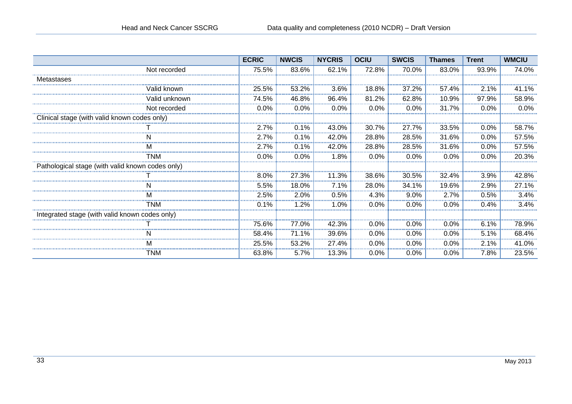|                                                  | <b>ECRIC</b> | <b>NWCIS</b> | <b>NYCRIS</b> | <b>OCIU</b> | <b>SWCIS</b> | <b>Thames</b> | <b>Trent</b> | <b>WMCIU</b> |
|--------------------------------------------------|--------------|--------------|---------------|-------------|--------------|---------------|--------------|--------------|
| Not recorded                                     | 75.5%        | 83.6%        | 62.1%         | 72.8%       | 70.0%        | 83.0%         | 93.9%        | 74.0%        |
| Metastases                                       |              |              |               |             |              |               |              |              |
| √alid known                                      | 25.5%        | 53.2%        | 3.6%          | 18.8%       | 37.2%        | 57.4%         | 2.1%         | 41.1%        |
| √alid unknown                                    | 74.5%        | 46.8%        | 96.4%         | 81.2%       | 62.8%        | 10.9%         | 97.9%        | 58.9%        |
| Not recorded                                     | 0.0%         | 0.0%         | 0.0%          | 0.0%        | 0.0%         | 31.7%         | 0.0%         | 0.0%         |
| Clinical stage (with valid known codes only)     |              |              |               |             |              |               |              |              |
|                                                  | 2.7%         | 0.1%         | 43.0%         | 30.7%       | 27.7%        | 33.5%         | 0.0%         | 58.7%        |
|                                                  | 2.7%         | 0.1%         | 42.0%         | 28.8%       | 28.5%        | 31.6%         | 0.0%         | 57.5%        |
|                                                  | 2.7%         | 0.1%         | 42.0%         | 28.8%       | 28.5%        | 31.6%         | 0.0%         | 57.5%        |
| TNM                                              | 0.0%         | 0.0%         | 1.8%          | 0.0%        | 0.0%         | 0.0%          | 0.0%         | 20.3%        |
| Pathological stage (with valid known codes only) |              |              |               |             |              |               |              |              |
|                                                  | 8.0%         | 27.3%        | 11.3%         | 38.6%       | 30.5%        | 32.4%         | 3.9%         | 42.8%        |
|                                                  | 5.5%         | 18.0%        | 7.1%          | 28.0%       | 34.1%        | 19.6%         | 2.9%         | 27.1%        |
|                                                  | 2.5%         | 2.0%         | 0.5%          | 4.3%        | 9.0%         | 2.7%          | 0.5%         | 3.4%         |
| TNM                                              | 0.1%         | 1.2%         | .0%           | 0.0%        | 0.0%         | 0.0%          | 0.4%         | 3.4%         |
| Integrated stage (with valid known codes only)   |              |              |               |             |              |               |              |              |
|                                                  | 75.6%        | 77.0%        | 42.3%         | 0.0%        | 0.0%         | 0.0%          | 6.1%         | 78.9%        |
|                                                  | 58.4%        | 71.1%        | 39.6%         | 0.0%        | 0.0%         | 0.0%          | 5.1%         | 68.4%        |
|                                                  | 25.5%        | 53.2%        | 27.4%         | 0.0%        | $0.0\%$      | 0.0%          | 2.1%         | 41.0%        |
| TNM                                              | 63.8%        | 5.7%         | 13.3%         | 0.0%        | $0.0\%$      | 0.0%          | 7.8%         | 23.5%        |